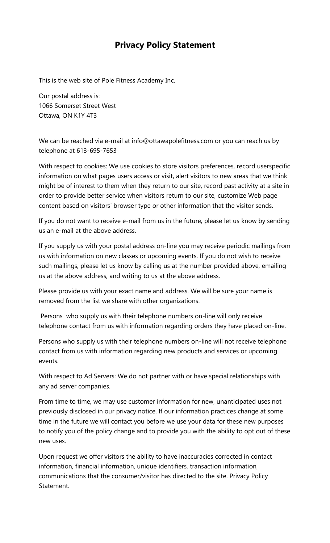## **Privacy Policy Statement**

This is the web site of Pole Fitness Academy Inc.

Our postal address is: 1066 Somerset Street West Ottawa, ON K1Y 4T3

We can be reached via e-mail at info@ottawapolefitness.com or you can reach us by telephone at 613-695-7653

With respect to cookies: We use cookies to store visitors preferences, record userspecific information on what pages users access or visit, alert visitors to new areas that we think might be of interest to them when they return to our site, record past activity at a site in order to provide better service when visitors return to our site, customize Web page content based on visitors' browser type or other information that the visitor sends.

If you do not want to receive e-mail from us in the future, please let us know by sending us an e-mail at the above address.

If you supply us with your postal address on-line you may receive periodic mailings from us with information on new classes or upcoming events. If you do not wish to receive such mailings, please let us know by calling us at the number provided above, emailing us at the above address, and writing to us at the above address.

Please provide us with your exact name and address. We will be sure your name is removed from the list we share with other organizations.

Persons who supply us with their telephone numbers on-line will only receive telephone contact from us with information regarding orders they have placed on-line.

Persons who supply us with their telephone numbers on-line will not receive telephone contact from us with information regarding new products and services or upcoming events.

With respect to Ad Servers: We do not partner with or have special relationships with any ad server companies.

From time to time, we may use customer information for new, unanticipated uses not previously disclosed in our privacy notice. If our information practices change at some time in the future we will contact you before we use your data for these new purposes to notify you of the policy change and to provide you with the ability to opt out of these new uses.

Upon request we offer visitors the ability to have inaccuracies corrected in contact information, financial information, unique identifiers, transaction information, communications that the consumer/visitor has directed to the site. Privacy Policy Statement.